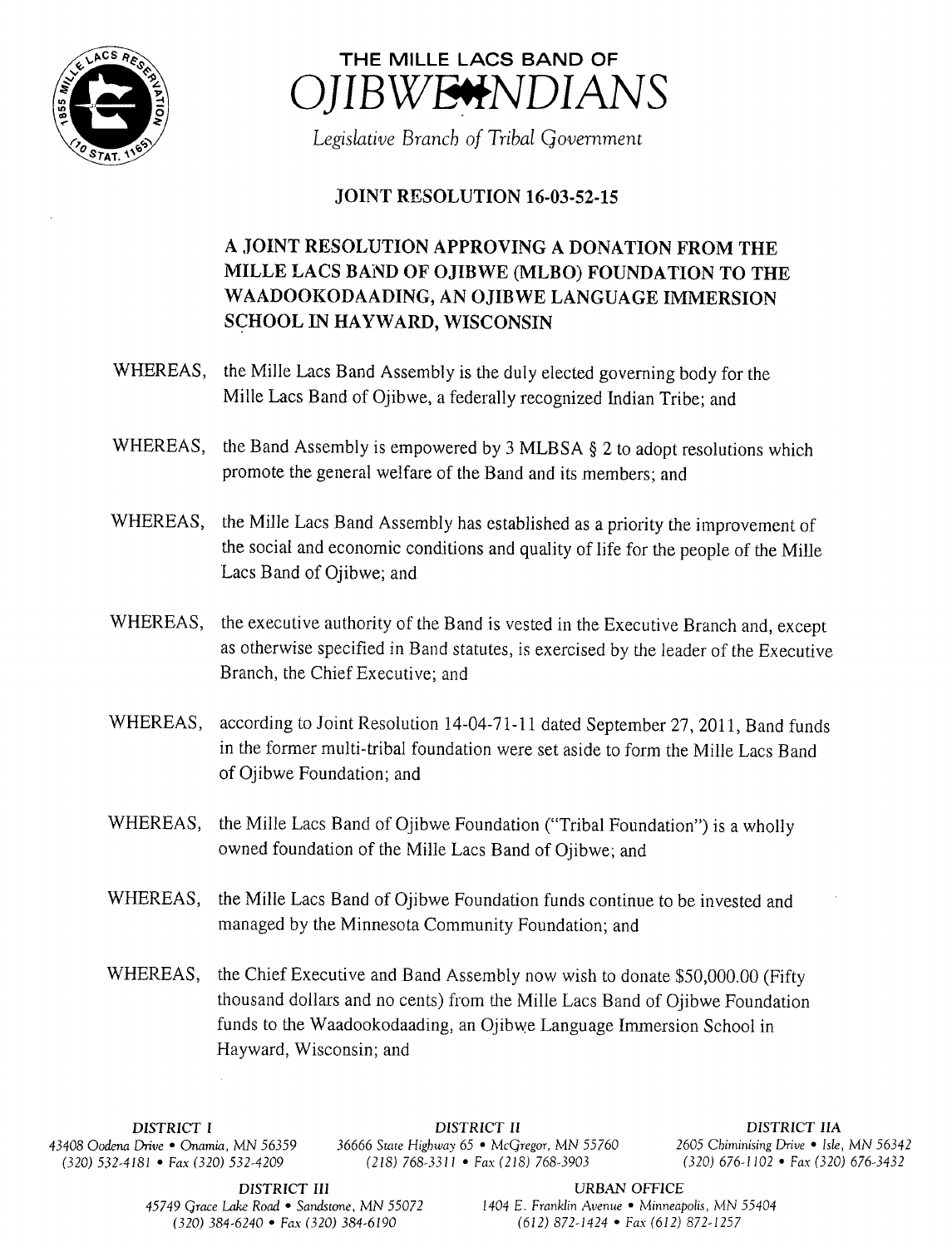



Legislative Branch of Tribal Government

## **JOINT RESOLUTION 16-03-52-15**

## A JOINT RESOLUTION APPROVING A DONATION FROM THE MILLE LACS BAND OF OJIBWE (MLBO) FOUNDATION TO THE WAADOOKODAADING, AN OJIBWE LANGUAGE IMMERSION SCHOOL IN HAYWARD, WISCONSIN

- WHEREAS, the Mille Lacs Band Assembly is the duly elected governing body for the Mille Lacs Band of Ojibwe, a federally recognized Indian Tribe; and
- WHEREAS, the Band Assembly is empowered by 3 MLBSA § 2 to adopt resolutions which promote the general welfare of the Band and its members; and
- WHEREAS, the Mille Lacs Band Assembly has established as <sup>a</sup> priority the improvement of the social and economic conditions and quality of life for the people of the Mille Lacs Band of Ojibwe; and
- WHEREAS, the executive authority of the Band is vested in the Executive Branch and, except as otherwise specified in Band statutes, is exercised by the leader of the Executive Branch, the Chief Executive; and
- WHEREAS, according to Joint Resolution 14-04-71-11 dated September 27, 2011, Band funds in the former multi-tribal foundation were set aside to form the Mille Lacs Band of Ojibwe Foundation; and
- WHEREAS, the Mille Lacs Band of Ojibwe Foundation ("Tribal Foundation") is a wholly owned foundation of the Mille Lacs Band of Ojibwe; and
- WHEREAS, the Mille Lacs Band of Ojibwe Foundation funds continue to be invested and managed by the Minnesota Community Foundation; and
- WHEREAS, the Chief Executive and Band Assembly now wish to donate \$50,000.00 (Fifty thousand dollars and no cents) from the Mille Lacs Band of Ojibwe Foundation funds to the Waadookodaading, an Ojibwe Language Immersion School in Hayward, Wisconsin; and

DISTRICT I DISTRICT II DISTRICT IIA 43408 Oodena Drive • Onamia, MN 56359 36666 State Highway 65 • McGregor, MN 55760 <sup>2605</sup> Chiminising Drive • Isle, MN 56342  $(218)$  768-3311 • Fax( 218) 768-3903

DISTRICT III URBAN OFFICE

45749 Grace Lake Road • Sandstone, MN 55072 1404 E. Franklin Avenue • Minneapolis, MN 55404 320) 384- 6240 • Fax( 320) 384- 6190 612) 872- 1424 • Fax( 612) 872- 1257